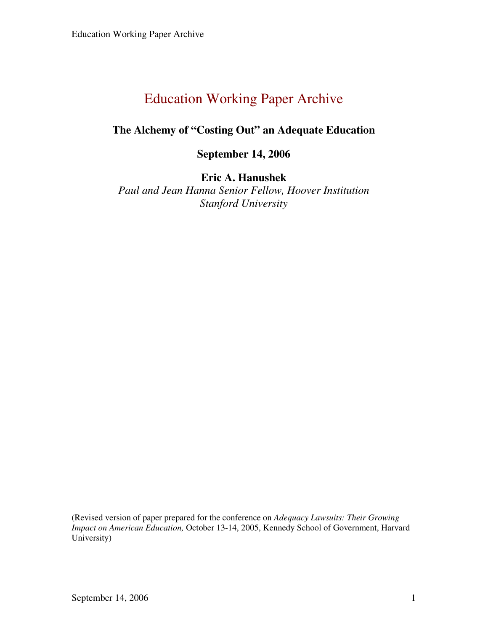## **The Alchemy of "Costing Out" an Adequate Education**

## **September 14, 2006**

## **Eric A. Hanushek**

*Paul and Jean Hanna Senior Fellow, Hoover Institution Stanford University* 

(Revised version of paper prepared for the conference on *Adequacy Lawsuits: Their Growing Impact on American Education,* October 13-14, 2005, Kennedy School of Government, Harvard University)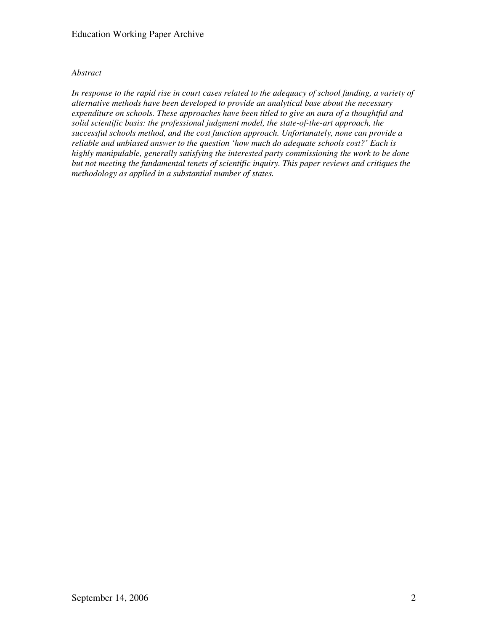## *Abstract*

In response to the rapid rise in court cases related to the adequacy of school funding, a variety of *alternative methods have been developed to provide an analytical base about the necessary expenditure on schools. These approaches have been titled to give an aura of a thoughtful and solid scientific basis: the professional judgment model, the state-of-the-art approach, the successful schools method, and the cost function approach. Unfortunately, none can provide a reliable and unbiased answer to the question 'how much do adequate schools cost?' Each is highly manipulable, generally satisfying the interested party commissioning the work to be done but not meeting the fundamental tenets of scientific inquiry. This paper reviews and critiques the methodology as applied in a substantial number of states.*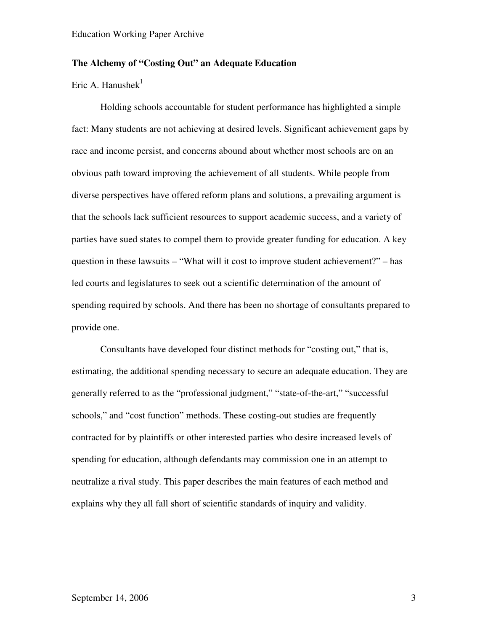## **The Alchemy of "Costing Out" an Adequate Education**

Eric A. Hanushek $1$ 

Holding schools accountable for student performance has highlighted a simple fact: Many students are not achieving at desired levels. Significant achievement gaps by race and income persist, and concerns abound about whether most schools are on an obvious path toward improving the achievement of all students. While people from diverse perspectives have offered reform plans and solutions, a prevailing argument is that the schools lack sufficient resources to support academic success, and a variety of parties have sued states to compel them to provide greater funding for education. A key question in these lawsuits – "What will it cost to improve student achievement?" – has led courts and legislatures to seek out a scientific determination of the amount of spending required by schools. And there has been no shortage of consultants prepared to provide one.

Consultants have developed four distinct methods for "costing out," that is, estimating, the additional spending necessary to secure an adequate education. They are generally referred to as the "professional judgment," "state-of-the-art," "successful schools," and "cost function" methods. These costing-out studies are frequently contracted for by plaintiffs or other interested parties who desire increased levels of spending for education, although defendants may commission one in an attempt to neutralize a rival study. This paper describes the main features of each method and explains why they all fall short of scientific standards of inquiry and validity.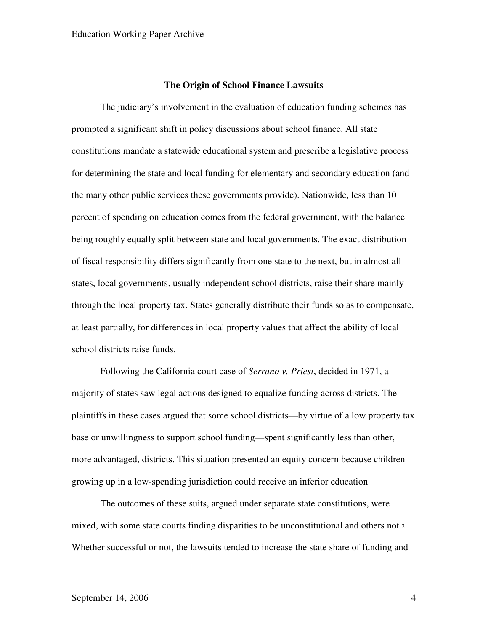#### **The Origin of School Finance Lawsuits**

The judiciary's involvement in the evaluation of education funding schemes has prompted a significant shift in policy discussions about school finance. All state constitutions mandate a statewide educational system and prescribe a legislative process for determining the state and local funding for elementary and secondary education (and the many other public services these governments provide). Nationwide, less than 10 percent of spending on education comes from the federal government, with the balance being roughly equally split between state and local governments. The exact distribution of fiscal responsibility differs significantly from one state to the next, but in almost all states, local governments, usually independent school districts, raise their share mainly through the local property tax. States generally distribute their funds so as to compensate, at least partially, for differences in local property values that affect the ability of local school districts raise funds.

Following the California court case of *Serrano v. Priest*, decided in 1971, a majority of states saw legal actions designed to equalize funding across districts. The plaintiffs in these cases argued that some school districts—by virtue of a low property tax base or unwillingness to support school funding—spent significantly less than other, more advantaged, districts. This situation presented an equity concern because children growing up in a low-spending jurisdiction could receive an inferior education

The outcomes of these suits, argued under separate state constitutions, were mixed, with some state courts finding disparities to be unconstitutional and others not.<sup>2</sup> Whether successful or not, the lawsuits tended to increase the state share of funding and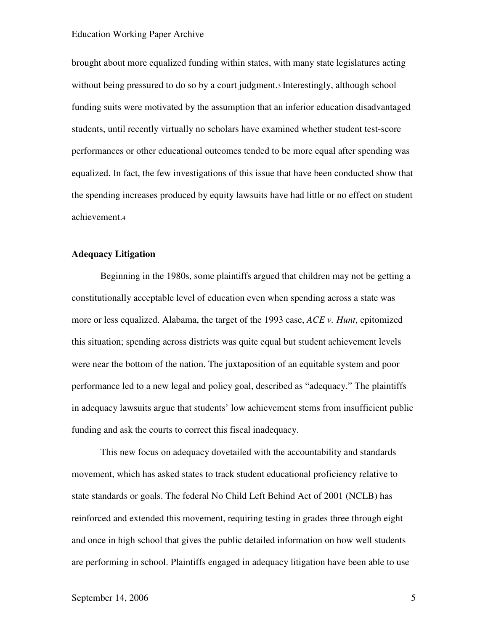brought about more equalized funding within states, with many state legislatures acting without being pressured to do so by a court judgment.<sup>3</sup> Interestingly, although school funding suits were motivated by the assumption that an inferior education disadvantaged students, until recently virtually no scholars have examined whether student test-score performances or other educational outcomes tended to be more equal after spending was equalized. In fact, the few investigations of this issue that have been conducted show that the spending increases produced by equity lawsuits have had little or no effect on student achievement.<sup>4</sup>

### **Adequacy Litigation**

Beginning in the 1980s, some plaintiffs argued that children may not be getting a constitutionally acceptable level of education even when spending across a state was more or less equalized. Alabama, the target of the 1993 case, *ACE v. Hunt*, epitomized this situation; spending across districts was quite equal but student achievement levels were near the bottom of the nation. The juxtaposition of an equitable system and poor performance led to a new legal and policy goal, described as "adequacy." The plaintiffs in adequacy lawsuits argue that students' low achievement stems from insufficient public funding and ask the courts to correct this fiscal inadequacy.

This new focus on adequacy dovetailed with the accountability and standards movement, which has asked states to track student educational proficiency relative to state standards or goals. The federal No Child Left Behind Act of 2001 (NCLB) has reinforced and extended this movement, requiring testing in grades three through eight and once in high school that gives the public detailed information on how well students are performing in school. Plaintiffs engaged in adequacy litigation have been able to use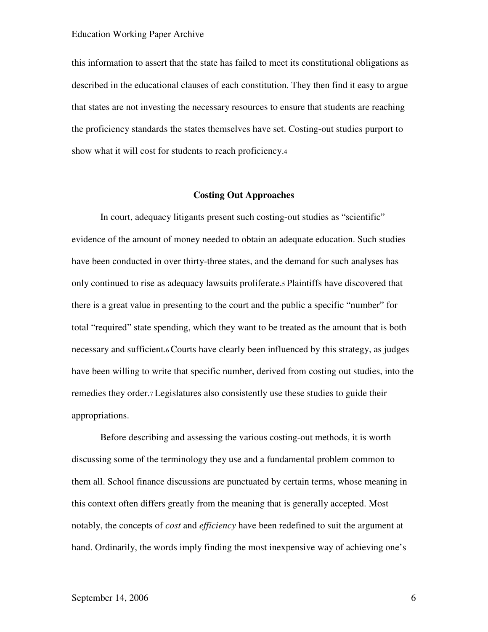this information to assert that the state has failed to meet its constitutional obligations as described in the educational clauses of each constitution. They then find it easy to argue that states are not investing the necessary resources to ensure that students are reaching the proficiency standards the states themselves have set. Costing-out studies purport to show what it will cost for students to reach proficiency.<sup>4</sup>

## **Costing Out Approaches**

In court, adequacy litigants present such costing-out studies as "scientific" evidence of the amount of money needed to obtain an adequate education. Such studies have been conducted in over thirty-three states, and the demand for such analyses has only continued to rise as adequacy lawsuits proliferate.5 Plaintiffs have discovered that there is a great value in presenting to the court and the public a specific "number" for total "required" state spending, which they want to be treated as the amount that is both necessary and sufficient.6 Courts have clearly been influenced by this strategy, as judges have been willing to write that specific number, derived from costing out studies, into the remedies they order.7 Legislatures also consistently use these studies to guide their appropriations.

Before describing and assessing the various costing-out methods, it is worth discussing some of the terminology they use and a fundamental problem common to them all. School finance discussions are punctuated by certain terms, whose meaning in this context often differs greatly from the meaning that is generally accepted. Most notably, the concepts of *cost* and *efficiency* have been redefined to suit the argument at hand. Ordinarily, the words imply finding the most inexpensive way of achieving one's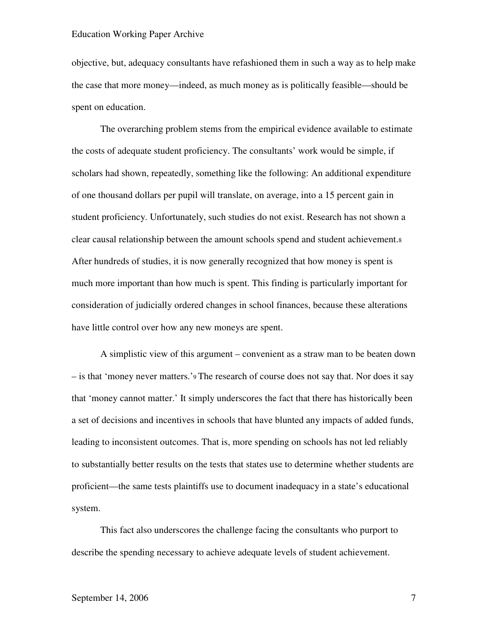objective, but, adequacy consultants have refashioned them in such a way as to help make the case that more money—indeed, as much money as is politically feasible—should be spent on education.

The overarching problem stems from the empirical evidence available to estimate the costs of adequate student proficiency. The consultants' work would be simple, if scholars had shown, repeatedly, something like the following: An additional expenditure of one thousand dollars per pupil will translate, on average, into a 15 percent gain in student proficiency. Unfortunately, such studies do not exist. Research has not shown a clear causal relationship between the amount schools spend and student achievement.<sup>8</sup> After hundreds of studies, it is now generally recognized that how money is spent is much more important than how much is spent. This finding is particularly important for consideration of judicially ordered changes in school finances, because these alterations have little control over how any new moneys are spent.

A simplistic view of this argument – convenient as a straw man to be beaten down – is that 'money never matters.'9 The research of course does not say that. Nor does it say that 'money cannot matter.' It simply underscores the fact that there has historically been a set of decisions and incentives in schools that have blunted any impacts of added funds, leading to inconsistent outcomes. That is, more spending on schools has not led reliably to substantially better results on the tests that states use to determine whether students are proficient—the same tests plaintiffs use to document inadequacy in a state's educational system.

This fact also underscores the challenge facing the consultants who purport to describe the spending necessary to achieve adequate levels of student achievement.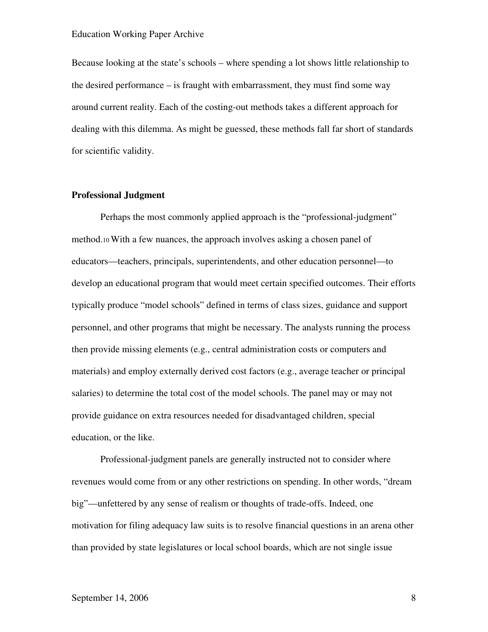Because looking at the state's schools – where spending a lot shows little relationship to the desired performance – is fraught with embarrassment, they must find some way around current reality. Each of the costing-out methods takes a different approach for dealing with this dilemma. As might be guessed, these methods fall far short of standards for scientific validity.

## **Professional Judgment**

Perhaps the most commonly applied approach is the "professional-judgment" method.10 With a few nuances, the approach involves asking a chosen panel of educators—teachers, principals, superintendents, and other education personnel—to develop an educational program that would meet certain specified outcomes. Their efforts typically produce "model schools" defined in terms of class sizes, guidance and support personnel, and other programs that might be necessary. The analysts running the process then provide missing elements (e.g., central administration costs or computers and materials) and employ externally derived cost factors (e.g., average teacher or principal salaries) to determine the total cost of the model schools. The panel may or may not provide guidance on extra resources needed for disadvantaged children, special education, or the like.

Professional-judgment panels are generally instructed not to consider where revenues would come from or any other restrictions on spending. In other words, "dream big"—unfettered by any sense of realism or thoughts of trade-offs. Indeed, one motivation for filing adequacy law suits is to resolve financial questions in an arena other than provided by state legislatures or local school boards, which are not single issue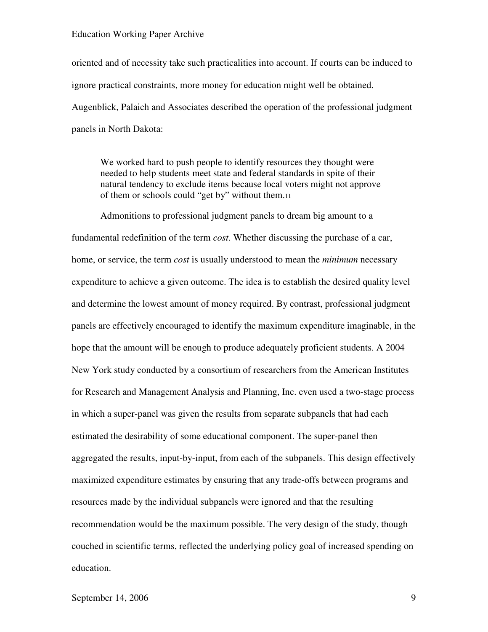oriented and of necessity take such practicalities into account. If courts can be induced to ignore practical constraints, more money for education might well be obtained. Augenblick, Palaich and Associates described the operation of the professional judgment panels in North Dakota:

We worked hard to push people to identify resources they thought were needed to help students meet state and federal standards in spite of their natural tendency to exclude items because local voters might not approve of them or schools could "get by" without them.<sup>11</sup>

Admonitions to professional judgment panels to dream big amount to a fundamental redefinition of the term *cost*. Whether discussing the purchase of a car, home, or service, the term *cost* is usually understood to mean the *minimum* necessary expenditure to achieve a given outcome. The idea is to establish the desired quality level and determine the lowest amount of money required. By contrast, professional judgment panels are effectively encouraged to identify the maximum expenditure imaginable, in the hope that the amount will be enough to produce adequately proficient students. A 2004 New York study conducted by a consortium of researchers from the American Institutes for Research and Management Analysis and Planning, Inc. even used a two-stage process in which a super-panel was given the results from separate subpanels that had each estimated the desirability of some educational component. The super-panel then aggregated the results, input-by-input, from each of the subpanels. This design effectively maximized expenditure estimates by ensuring that any trade-offs between programs and resources made by the individual subpanels were ignored and that the resulting recommendation would be the maximum possible. The very design of the study, though couched in scientific terms, reflected the underlying policy goal of increased spending on education.

## September 14, 2006 9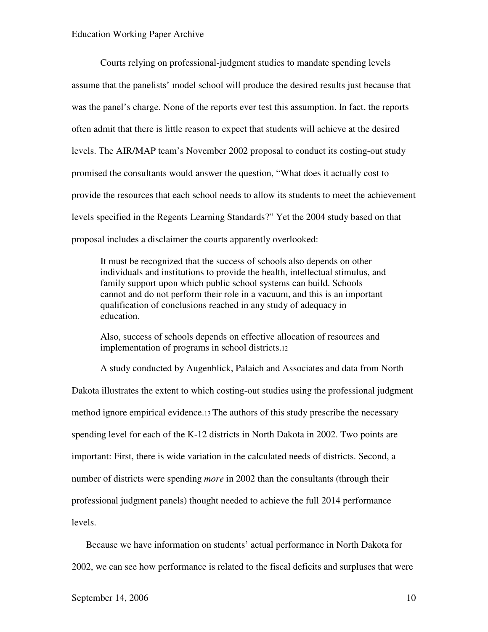Courts relying on professional-judgment studies to mandate spending levels assume that the panelists' model school will produce the desired results just because that was the panel's charge. None of the reports ever test this assumption. In fact, the reports often admit that there is little reason to expect that students will achieve at the desired levels. The AIR/MAP team's November 2002 proposal to conduct its costing-out study promised the consultants would answer the question, "What does it actually cost to provide the resources that each school needs to allow its students to meet the achievement levels specified in the Regents Learning Standards?" Yet the 2004 study based on that proposal includes a disclaimer the courts apparently overlooked:

It must be recognized that the success of schools also depends on other individuals and institutions to provide the health, intellectual stimulus, and family support upon which public school systems can build. Schools cannot and do not perform their role in a vacuum, and this is an important qualification of conclusions reached in any study of adequacy in education.

Also, success of schools depends on effective allocation of resources and implementation of programs in school districts.<sup>12</sup>

A study conducted by Augenblick, Palaich and Associates and data from North Dakota illustrates the extent to which costing-out studies using the professional judgment method ignore empirical evidence.13 The authors of this study prescribe the necessary spending level for each of the K-12 districts in North Dakota in 2002. Two points are important: First, there is wide variation in the calculated needs of districts. Second, a number of districts were spending *more* in 2002 than the consultants (through their professional judgment panels) thought needed to achieve the full 2014 performance levels.

Because we have information on students' actual performance in North Dakota for 2002, we can see how performance is related to the fiscal deficits and surpluses that were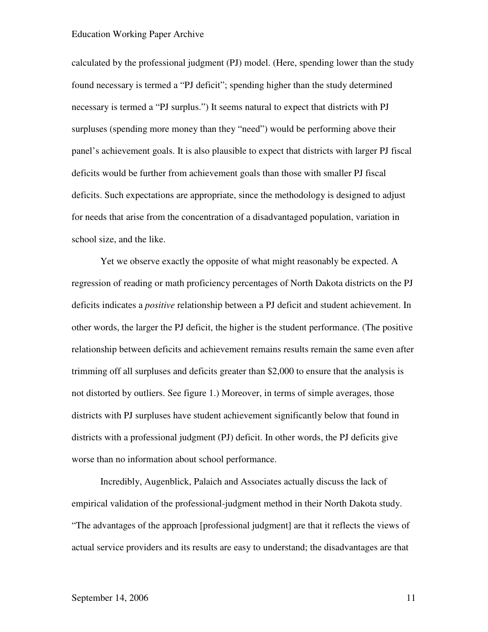calculated by the professional judgment (PJ) model. (Here, spending lower than the study found necessary is termed a "PJ deficit"; spending higher than the study determined necessary is termed a "PJ surplus.") It seems natural to expect that districts with PJ surpluses (spending more money than they "need") would be performing above their panel's achievement goals. It is also plausible to expect that districts with larger PJ fiscal deficits would be further from achievement goals than those with smaller PJ fiscal deficits. Such expectations are appropriate, since the methodology is designed to adjust for needs that arise from the concentration of a disadvantaged population, variation in school size, and the like.

Yet we observe exactly the opposite of what might reasonably be expected. A regression of reading or math proficiency percentages of North Dakota districts on the PJ deficits indicates a *positive* relationship between a PJ deficit and student achievement. In other words, the larger the PJ deficit, the higher is the student performance. (The positive relationship between deficits and achievement remains results remain the same even after trimming off all surpluses and deficits greater than \$2,000 to ensure that the analysis is not distorted by outliers. See figure 1.) Moreover, in terms of simple averages, those districts with PJ surpluses have student achievement significantly below that found in districts with a professional judgment (PJ) deficit. In other words, the PJ deficits give worse than no information about school performance.

Incredibly, Augenblick, Palaich and Associates actually discuss the lack of empirical validation of the professional-judgment method in their North Dakota study. "The advantages of the approach [professional judgment] are that it reflects the views of actual service providers and its results are easy to understand; the disadvantages are that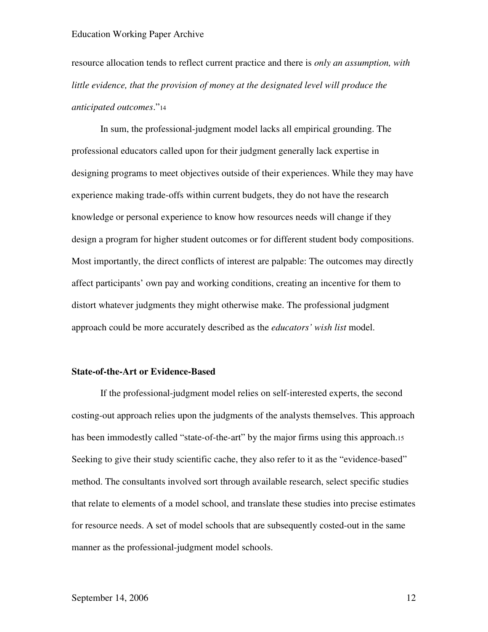resource allocation tends to reflect current practice and there is *only an assumption, with*  little evidence, that the provision of money at the designated level will produce the *anticipated outcomes*."<sup>14</sup>

In sum, the professional-judgment model lacks all empirical grounding. The professional educators called upon for their judgment generally lack expertise in designing programs to meet objectives outside of their experiences. While they may have experience making trade-offs within current budgets, they do not have the research knowledge or personal experience to know how resources needs will change if they design a program for higher student outcomes or for different student body compositions. Most importantly, the direct conflicts of interest are palpable: The outcomes may directly affect participants' own pay and working conditions, creating an incentive for them to distort whatever judgments they might otherwise make. The professional judgment approach could be more accurately described as the *educators' wish list* model.

#### **State-of-the-Art or Evidence-Based**

If the professional-judgment model relies on self-interested experts, the second costing-out approach relies upon the judgments of the analysts themselves. This approach has been immodestly called "state-of-the-art" by the major firms using this approach.15 Seeking to give their study scientific cache, they also refer to it as the "evidence-based" method. The consultants involved sort through available research, select specific studies that relate to elements of a model school, and translate these studies into precise estimates for resource needs. A set of model schools that are subsequently costed-out in the same manner as the professional-judgment model schools.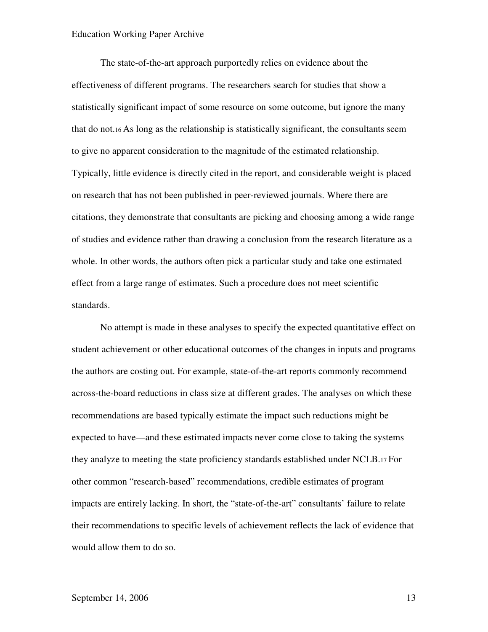The state-of-the-art approach purportedly relies on evidence about the effectiveness of different programs. The researchers search for studies that show a statistically significant impact of some resource on some outcome, but ignore the many that do not.16 As long as the relationship is statistically significant, the consultants seem to give no apparent consideration to the magnitude of the estimated relationship. Typically, little evidence is directly cited in the report, and considerable weight is placed on research that has not been published in peer-reviewed journals. Where there are citations, they demonstrate that consultants are picking and choosing among a wide range of studies and evidence rather than drawing a conclusion from the research literature as a whole. In other words, the authors often pick a particular study and take one estimated effect from a large range of estimates. Such a procedure does not meet scientific standards.

No attempt is made in these analyses to specify the expected quantitative effect on student achievement or other educational outcomes of the changes in inputs and programs the authors are costing out. For example, state-of-the-art reports commonly recommend across-the-board reductions in class size at different grades. The analyses on which these recommendations are based typically estimate the impact such reductions might be expected to have—and these estimated impacts never come close to taking the systems they analyze to meeting the state proficiency standards established under NCLB.17 For other common "research-based" recommendations, credible estimates of program impacts are entirely lacking. In short, the "state-of-the-art" consultants' failure to relate their recommendations to specific levels of achievement reflects the lack of evidence that would allow them to do so.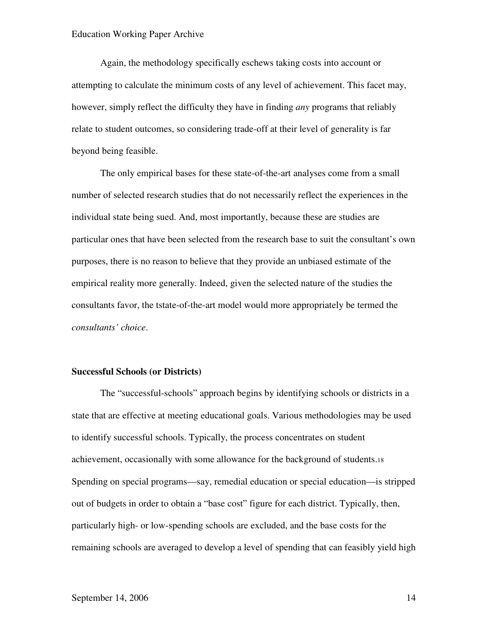Again, the methodology specifically eschews taking costs into account or attempting to calculate the minimum costs of any level of achievement. This facet may, however, simply reflect the difficulty they have in finding *any* programs that reliably relate to student outcomes, so considering trade-off at their level of generality is far beyond being feasible.

The only empirical bases for these state-of-the-art analyses come from a small number of selected research studies that do not necessarily reflect the experiences in the individual state being sued. And, most importantly, because these are studies are particular ones that have been selected from the research base to suit the consultant's own purposes, there is no reason to believe that they provide an unbiased estimate of the empirical reality more generally. Indeed, given the selected nature of the studies the consultants favor, the tstate-of-the-art model would more appropriately be termed the *consultants' choice*.

#### **Successful Schools (or Districts)**

The "successful-schools" approach begins by identifying schools or districts in a state that are effective at meeting educational goals. Various methodologies may be used to identify successful schools. Typically, the process concentrates on student achievement, occasionally with some allowance for the background of students.<sup>18</sup> Spending on special programs—say, remedial education or special education—is stripped out of budgets in order to obtain a "base cost" figure for each district. Typically, then, particularly high- or low-spending schools are excluded, and the base costs for the remaining schools are averaged to develop a level of spending that can feasibly yield high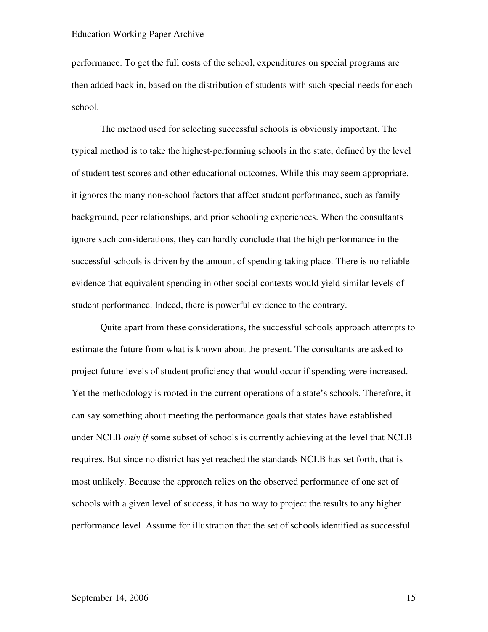performance. To get the full costs of the school, expenditures on special programs are then added back in, based on the distribution of students with such special needs for each school.

The method used for selecting successful schools is obviously important. The typical method is to take the highest-performing schools in the state, defined by the level of student test scores and other educational outcomes. While this may seem appropriate, it ignores the many non-school factors that affect student performance, such as family background, peer relationships, and prior schooling experiences. When the consultants ignore such considerations, they can hardly conclude that the high performance in the successful schools is driven by the amount of spending taking place. There is no reliable evidence that equivalent spending in other social contexts would yield similar levels of student performance. Indeed, there is powerful evidence to the contrary.

Quite apart from these considerations, the successful schools approach attempts to estimate the future from what is known about the present. The consultants are asked to project future levels of student proficiency that would occur if spending were increased. Yet the methodology is rooted in the current operations of a state's schools. Therefore, it can say something about meeting the performance goals that states have established under NCLB *only if* some subset of schools is currently achieving at the level that NCLB requires. But since no district has yet reached the standards NCLB has set forth, that is most unlikely. Because the approach relies on the observed performance of one set of schools with a given level of success, it has no way to project the results to any higher performance level. Assume for illustration that the set of schools identified as successful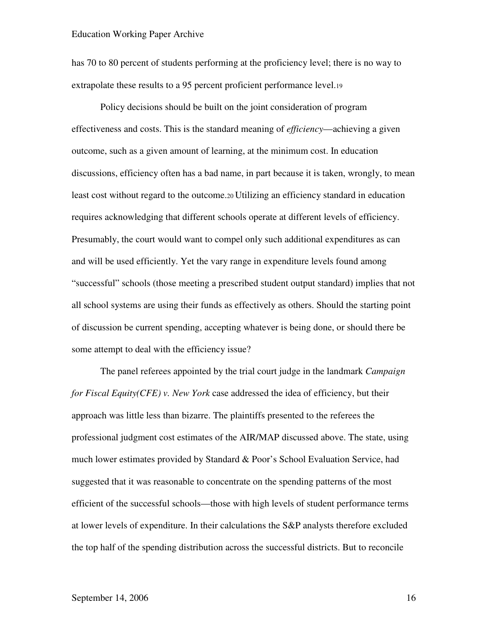has 70 to 80 percent of students performing at the proficiency level; there is no way to extrapolate these results to a 95 percent proficient performance level.<sup>19</sup>

Policy decisions should be built on the joint consideration of program effectiveness and costs. This is the standard meaning of *efficiency*—achieving a given outcome, such as a given amount of learning, at the minimum cost. In education discussions, efficiency often has a bad name, in part because it is taken, wrongly, to mean least cost without regard to the outcome.20 Utilizing an efficiency standard in education requires acknowledging that different schools operate at different levels of efficiency. Presumably, the court would want to compel only such additional expenditures as can and will be used efficiently. Yet the vary range in expenditure levels found among "successful" schools (those meeting a prescribed student output standard) implies that not all school systems are using their funds as effectively as others. Should the starting point of discussion be current spending, accepting whatever is being done, or should there be some attempt to deal with the efficiency issue?

The panel referees appointed by the trial court judge in the landmark *Campaign for Fiscal Equity(CFE) v. New York* case addressed the idea of efficiency, but their approach was little less than bizarre. The plaintiffs presented to the referees the professional judgment cost estimates of the AIR/MAP discussed above. The state, using much lower estimates provided by Standard & Poor's School Evaluation Service, had suggested that it was reasonable to concentrate on the spending patterns of the most efficient of the successful schools—those with high levels of student performance terms at lower levels of expenditure. In their calculations the S&P analysts therefore excluded the top half of the spending distribution across the successful districts. But to reconcile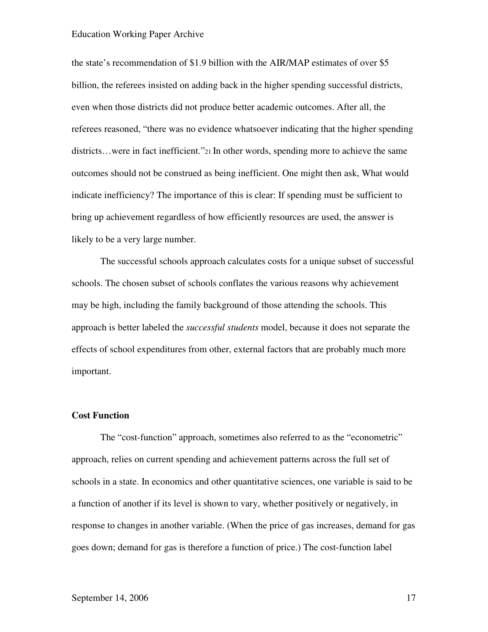the state's recommendation of \$1.9 billion with the AIR/MAP estimates of over \$5 billion, the referees insisted on adding back in the higher spending successful districts, even when those districts did not produce better academic outcomes. After all, the referees reasoned, "there was no evidence whatsoever indicating that the higher spending districts…were in fact inefficient."21 In other words, spending more to achieve the same outcomes should not be construed as being inefficient. One might then ask, What would indicate inefficiency? The importance of this is clear: If spending must be sufficient to bring up achievement regardless of how efficiently resources are used, the answer is likely to be a very large number.

The successful schools approach calculates costs for a unique subset of successful schools. The chosen subset of schools conflates the various reasons why achievement may be high, including the family background of those attending the schools. This approach is better labeled the *successful students* model, because it does not separate the effects of school expenditures from other, external factors that are probably much more important.

#### **Cost Function**

The "cost-function" approach, sometimes also referred to as the "econometric" approach, relies on current spending and achievement patterns across the full set of schools in a state. In economics and other quantitative sciences, one variable is said to be a function of another if its level is shown to vary, whether positively or negatively, in response to changes in another variable. (When the price of gas increases, demand for gas goes down; demand for gas is therefore a function of price.) The cost-function label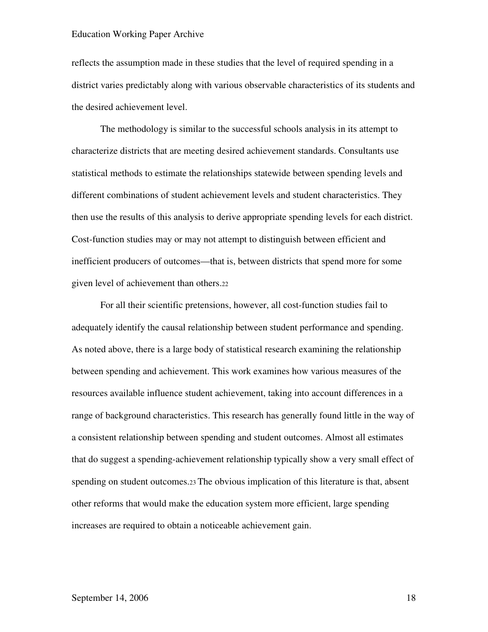reflects the assumption made in these studies that the level of required spending in a district varies predictably along with various observable characteristics of its students and the desired achievement level.

The methodology is similar to the successful schools analysis in its attempt to characterize districts that are meeting desired achievement standards. Consultants use statistical methods to estimate the relationships statewide between spending levels and different combinations of student achievement levels and student characteristics. They then use the results of this analysis to derive appropriate spending levels for each district. Cost-function studies may or may not attempt to distinguish between efficient and inefficient producers of outcomes—that is, between districts that spend more for some given level of achievement than others.<sup>22</sup>

For all their scientific pretensions, however, all cost-function studies fail to adequately identify the causal relationship between student performance and spending. As noted above, there is a large body of statistical research examining the relationship between spending and achievement. This work examines how various measures of the resources available influence student achievement, taking into account differences in a range of background characteristics. This research has generally found little in the way of a consistent relationship between spending and student outcomes. Almost all estimates that do suggest a spending-achievement relationship typically show a very small effect of spending on student outcomes.23 The obvious implication of this literature is that, absent other reforms that would make the education system more efficient, large spending increases are required to obtain a noticeable achievement gain.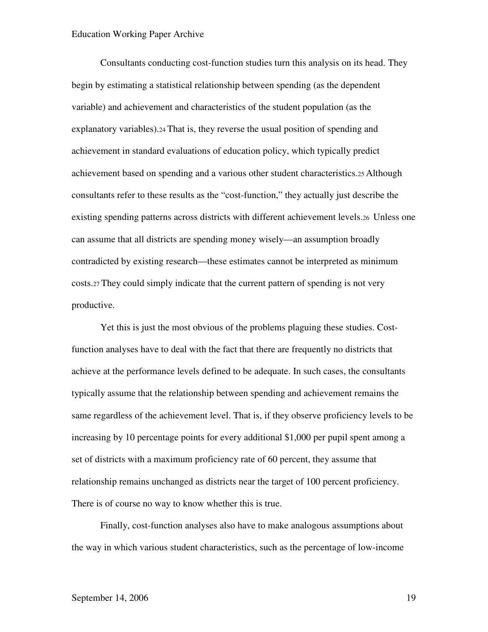Consultants conducting cost-function studies turn this analysis on its head. They begin by estimating a statistical relationship between spending (as the dependent variable) and achievement and characteristics of the student population (as the explanatory variables).24 That is, they reverse the usual position of spending and achievement in standard evaluations of education policy, which typically predict achievement based on spending and a various other student characteristics.25 Although consultants refer to these results as the "cost-function," they actually just describe the existing spending patterns across districts with different achievement levels.26 Unless one can assume that all districts are spending money wisely—an assumption broadly contradicted by existing research—these estimates cannot be interpreted as minimum costs.27 They could simply indicate that the current pattern of spending is not very productive.

Yet this is just the most obvious of the problems plaguing these studies. Costfunction analyses have to deal with the fact that there are frequently no districts that achieve at the performance levels defined to be adequate. In such cases, the consultants typically assume that the relationship between spending and achievement remains the same regardless of the achievement level. That is, if they observe proficiency levels to be increasing by 10 percentage points for every additional \$1,000 per pupil spent among a set of districts with a maximum proficiency rate of 60 percent, they assume that relationship remains unchanged as districts near the target of 100 percent proficiency. There is of course no way to know whether this is true.

Finally, cost-function analyses also have to make analogous assumptions about the way in which various student characteristics, such as the percentage of low-income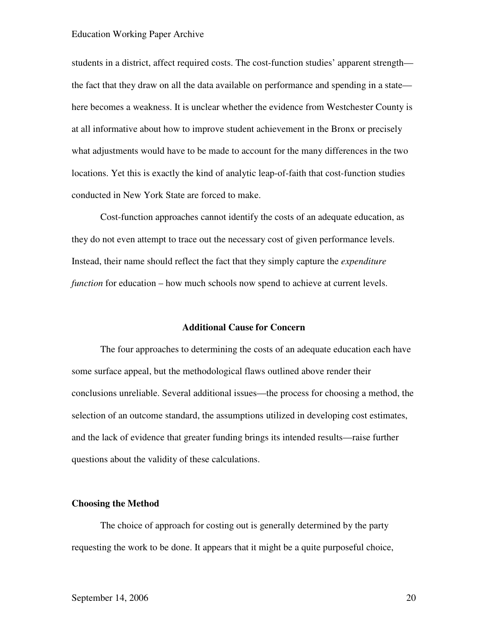students in a district, affect required costs. The cost-function studies' apparent strength the fact that they draw on all the data available on performance and spending in a state here becomes a weakness. It is unclear whether the evidence from Westchester County is at all informative about how to improve student achievement in the Bronx or precisely what adjustments would have to be made to account for the many differences in the two locations. Yet this is exactly the kind of analytic leap-of-faith that cost-function studies conducted in New York State are forced to make.

Cost-function approaches cannot identify the costs of an adequate education, as they do not even attempt to trace out the necessary cost of given performance levels. Instead, their name should reflect the fact that they simply capture the *expenditure function* for education – how much schools now spend to achieve at current levels.

#### **Additional Cause for Concern**

The four approaches to determining the costs of an adequate education each have some surface appeal, but the methodological flaws outlined above render their conclusions unreliable. Several additional issues—the process for choosing a method, the selection of an outcome standard, the assumptions utilized in developing cost estimates, and the lack of evidence that greater funding brings its intended results—raise further questions about the validity of these calculations.

#### **Choosing the Method**

The choice of approach for costing out is generally determined by the party requesting the work to be done. It appears that it might be a quite purposeful choice,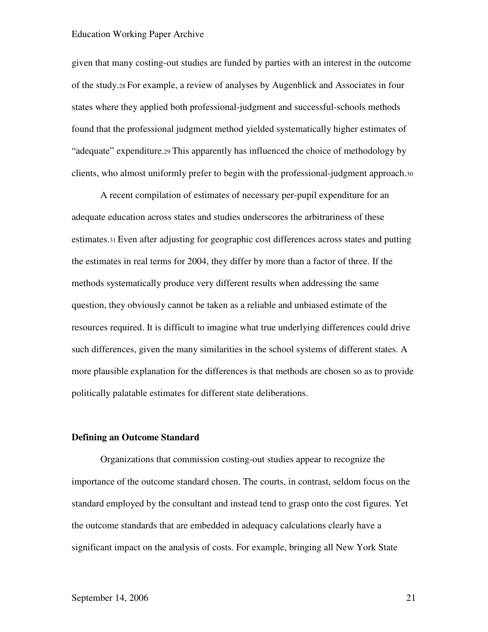given that many costing-out studies are funded by parties with an interest in the outcome of the study.28 For example, a review of analyses by Augenblick and Associates in four states where they applied both professional-judgment and successful-schools methods found that the professional judgment method yielded systematically higher estimates of "adequate" expenditure.29 This apparently has influenced the choice of methodology by clients, who almost uniformly prefer to begin with the professional-judgment approach.<sup>30</sup>

A recent compilation of estimates of necessary per-pupil expenditure for an adequate education across states and studies underscores the arbitrariness of these estimates.31 Even after adjusting for geographic cost differences across states and putting the estimates in real terms for 2004, they differ by more than a factor of three. If the methods systematically produce very different results when addressing the same question, they obviously cannot be taken as a reliable and unbiased estimate of the resources required. It is difficult to imagine what true underlying differences could drive such differences, given the many similarities in the school systems of different states. A more plausible explanation for the differences is that methods are chosen so as to provide politically palatable estimates for different state deliberations.

#### **Defining an Outcome Standard**

Organizations that commission costing-out studies appear to recognize the importance of the outcome standard chosen. The courts, in contrast, seldom focus on the standard employed by the consultant and instead tend to grasp onto the cost figures. Yet the outcome standards that are embedded in adequacy calculations clearly have a significant impact on the analysis of costs. For example, bringing all New York State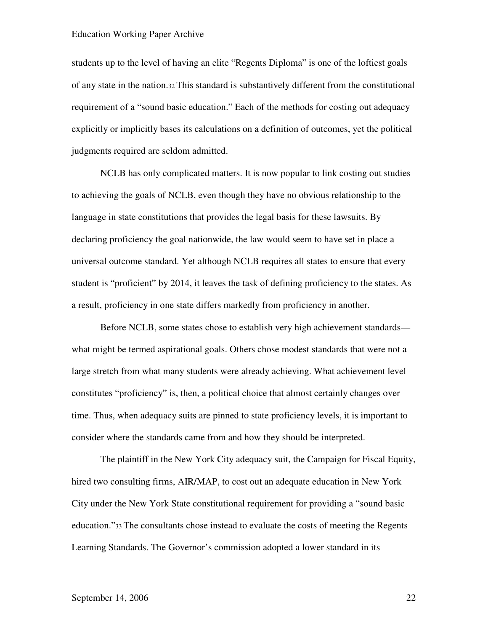students up to the level of having an elite "Regents Diploma" is one of the loftiest goals of any state in the nation.32 This standard is substantively different from the constitutional requirement of a "sound basic education." Each of the methods for costing out adequacy explicitly or implicitly bases its calculations on a definition of outcomes, yet the political judgments required are seldom admitted.

NCLB has only complicated matters. It is now popular to link costing out studies to achieving the goals of NCLB, even though they have no obvious relationship to the language in state constitutions that provides the legal basis for these lawsuits. By declaring proficiency the goal nationwide, the law would seem to have set in place a universal outcome standard. Yet although NCLB requires all states to ensure that every student is "proficient" by 2014, it leaves the task of defining proficiency to the states. As a result, proficiency in one state differs markedly from proficiency in another.

Before NCLB, some states chose to establish very high achievement standards what might be termed aspirational goals. Others chose modest standards that were not a large stretch from what many students were already achieving. What achievement level constitutes "proficiency" is, then, a political choice that almost certainly changes over time. Thus, when adequacy suits are pinned to state proficiency levels, it is important to consider where the standards came from and how they should be interpreted.

The plaintiff in the New York City adequacy suit, the Campaign for Fiscal Equity, hired two consulting firms, AIR/MAP, to cost out an adequate education in New York City under the New York State constitutional requirement for providing a "sound basic education."33 The consultants chose instead to evaluate the costs of meeting the Regents Learning Standards. The Governor's commission adopted a lower standard in its

## September 14, 2006 22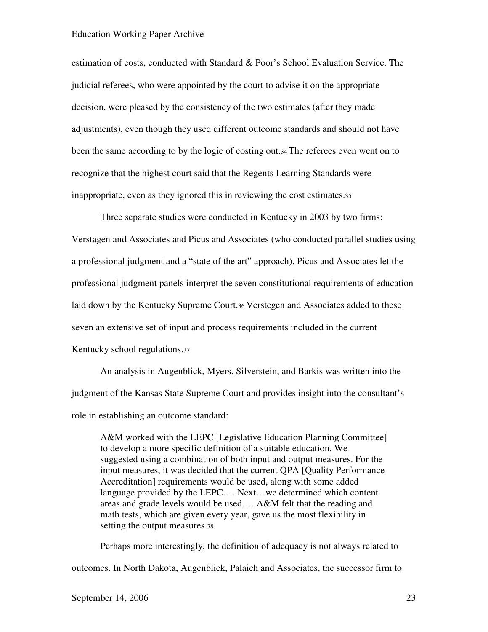estimation of costs, conducted with Standard & Poor's School Evaluation Service. The judicial referees, who were appointed by the court to advise it on the appropriate decision, were pleased by the consistency of the two estimates (after they made adjustments), even though they used different outcome standards and should not have been the same according to by the logic of costing out.34 The referees even went on to recognize that the highest court said that the Regents Learning Standards were inappropriate, even as they ignored this in reviewing the cost estimates.<sup>35</sup>

Three separate studies were conducted in Kentucky in 2003 by two firms: Verstagen and Associates and Picus and Associates (who conducted parallel studies using a professional judgment and a "state of the art" approach). Picus and Associates let the professional judgment panels interpret the seven constitutional requirements of education laid down by the Kentucky Supreme Court.36 Verstegen and Associates added to these seven an extensive set of input and process requirements included in the current Kentucky school regulations.<sup>37</sup>

An analysis in Augenblick, Myers, Silverstein, and Barkis was written into the judgment of the Kansas State Supreme Court and provides insight into the consultant's role in establishing an outcome standard:

A&M worked with the LEPC [Legislative Education Planning Committee] to develop a more specific definition of a suitable education. We suggested using a combination of both input and output measures. For the input measures, it was decided that the current QPA [Quality Performance Accreditation] requirements would be used, along with some added language provided by the LEPC…. Next…we determined which content areas and grade levels would be used…. A&M felt that the reading and math tests, which are given every year, gave us the most flexibility in setting the output measures.<sup>38</sup>

Perhaps more interestingly, the definition of adequacy is not always related to outcomes. In North Dakota, Augenblick, Palaich and Associates, the successor firm to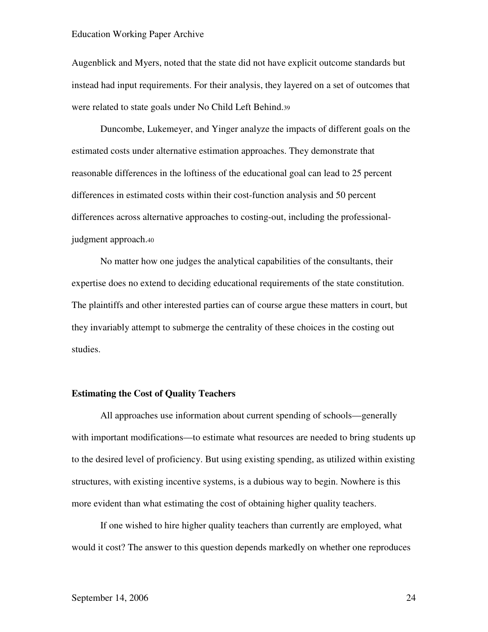Augenblick and Myers, noted that the state did not have explicit outcome standards but instead had input requirements. For their analysis, they layered on a set of outcomes that were related to state goals under No Child Left Behind.<sup>39</sup>

Duncombe, Lukemeyer, and Yinger analyze the impacts of different goals on the estimated costs under alternative estimation approaches. They demonstrate that reasonable differences in the loftiness of the educational goal can lead to 25 percent differences in estimated costs within their cost-function analysis and 50 percent differences across alternative approaches to costing-out, including the professionaljudgment approach.<sup>40</sup>

No matter how one judges the analytical capabilities of the consultants, their expertise does no extend to deciding educational requirements of the state constitution. The plaintiffs and other interested parties can of course argue these matters in court, but they invariably attempt to submerge the centrality of these choices in the costing out studies.

#### **Estimating the Cost of Quality Teachers**

All approaches use information about current spending of schools—generally with important modifications—to estimate what resources are needed to bring students up to the desired level of proficiency. But using existing spending, as utilized within existing structures, with existing incentive systems, is a dubious way to begin. Nowhere is this more evident than what estimating the cost of obtaining higher quality teachers.

If one wished to hire higher quality teachers than currently are employed, what would it cost? The answer to this question depends markedly on whether one reproduces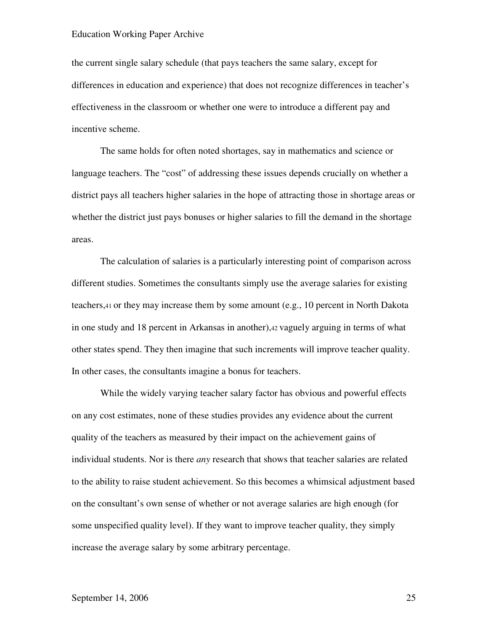the current single salary schedule (that pays teachers the same salary, except for differences in education and experience) that does not recognize differences in teacher's effectiveness in the classroom or whether one were to introduce a different pay and incentive scheme.

The same holds for often noted shortages, say in mathematics and science or language teachers. The "cost" of addressing these issues depends crucially on whether a district pays all teachers higher salaries in the hope of attracting those in shortage areas or whether the district just pays bonuses or higher salaries to fill the demand in the shortage areas.

The calculation of salaries is a particularly interesting point of comparison across different studies. Sometimes the consultants simply use the average salaries for existing teachers,41 or they may increase them by some amount (e.g., 10 percent in North Dakota in one study and 18 percent in Arkansas in another),42 vaguely arguing in terms of what other states spend. They then imagine that such increments will improve teacher quality. In other cases, the consultants imagine a bonus for teachers.

While the widely varying teacher salary factor has obvious and powerful effects on any cost estimates, none of these studies provides any evidence about the current quality of the teachers as measured by their impact on the achievement gains of individual students. Nor is there *any* research that shows that teacher salaries are related to the ability to raise student achievement. So this becomes a whimsical adjustment based on the consultant's own sense of whether or not average salaries are high enough (for some unspecified quality level). If they want to improve teacher quality, they simply increase the average salary by some arbitrary percentage.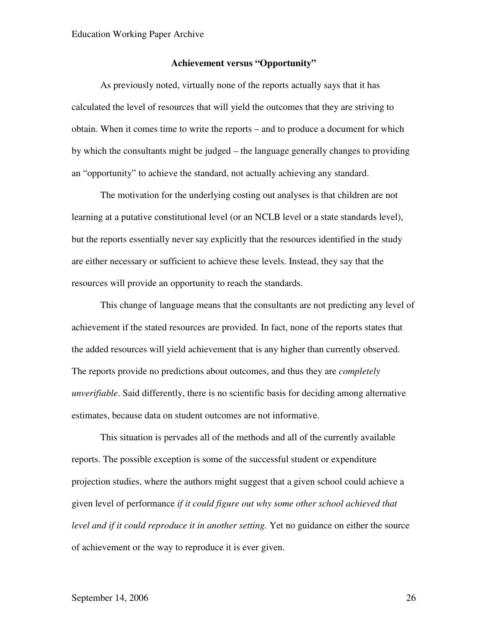#### **Achievement versus "Opportunity"**

As previously noted, virtually none of the reports actually says that it has calculated the level of resources that will yield the outcomes that they are striving to obtain. When it comes time to write the reports – and to produce a document for which by which the consultants might be judged – the language generally changes to providing an "opportunity" to achieve the standard, not actually achieving any standard.

The motivation for the underlying costing out analyses is that children are not learning at a putative constitutional level (or an NCLB level or a state standards level), but the reports essentially never say explicitly that the resources identified in the study are either necessary or sufficient to achieve these levels. Instead, they say that the resources will provide an opportunity to reach the standards.

This change of language means that the consultants are not predicting any level of achievement if the stated resources are provided. In fact, none of the reports states that the added resources will yield achievement that is any higher than currently observed. The reports provide no predictions about outcomes, and thus they are *completely unverifiable*. Said differently, there is no scientific basis for deciding among alternative estimates, because data on student outcomes are not informative.

This situation is pervades all of the methods and all of the currently available reports. The possible exception is some of the successful student or expenditure projection studies, where the authors might suggest that a given school could achieve a given level of performance *if it could figure out why some other school achieved that level and if it could reproduce it in another setting.* Yet no guidance on either the source of achievement or the way to reproduce it is ever given.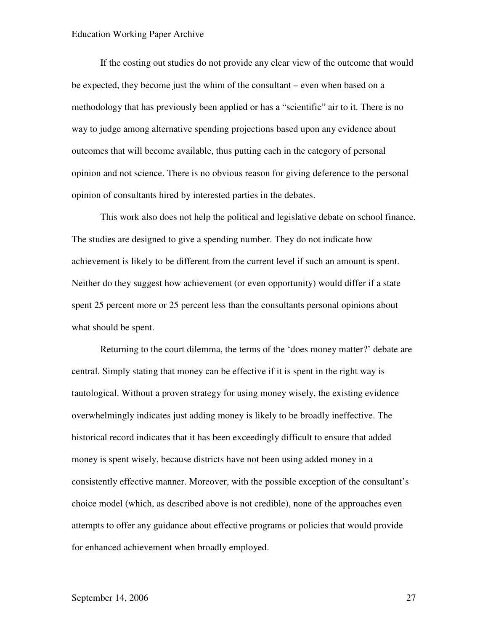If the costing out studies do not provide any clear view of the outcome that would be expected, they become just the whim of the consultant – even when based on a methodology that has previously been applied or has a "scientific" air to it. There is no way to judge among alternative spending projections based upon any evidence about outcomes that will become available, thus putting each in the category of personal opinion and not science. There is no obvious reason for giving deference to the personal opinion of consultants hired by interested parties in the debates.

This work also does not help the political and legislative debate on school finance. The studies are designed to give a spending number. They do not indicate how achievement is likely to be different from the current level if such an amount is spent. Neither do they suggest how achievement (or even opportunity) would differ if a state spent 25 percent more or 25 percent less than the consultants personal opinions about what should be spent.

Returning to the court dilemma, the terms of the 'does money matter?' debate are central. Simply stating that money can be effective if it is spent in the right way is tautological. Without a proven strategy for using money wisely, the existing evidence overwhelmingly indicates just adding money is likely to be broadly ineffective. The historical record indicates that it has been exceedingly difficult to ensure that added money is spent wisely, because districts have not been using added money in a consistently effective manner. Moreover, with the possible exception of the consultant's choice model (which, as described above is not credible), none of the approaches even attempts to offer any guidance about effective programs or policies that would provide for enhanced achievement when broadly employed.

## September 14, 2006 27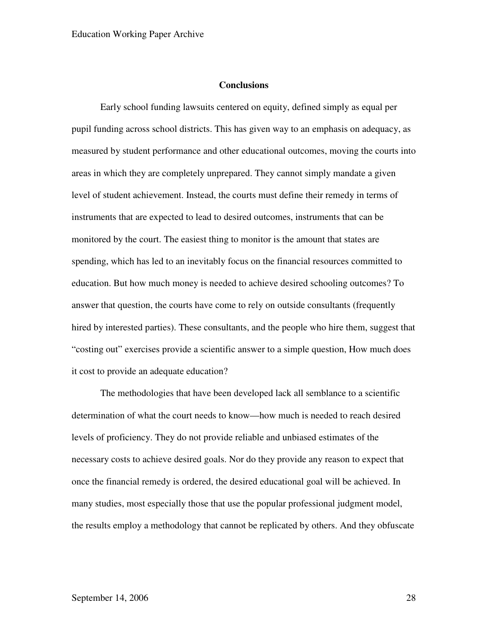## **Conclusions**

Early school funding lawsuits centered on equity, defined simply as equal per pupil funding across school districts. This has given way to an emphasis on adequacy, as measured by student performance and other educational outcomes, moving the courts into areas in which they are completely unprepared. They cannot simply mandate a given level of student achievement. Instead, the courts must define their remedy in terms of instruments that are expected to lead to desired outcomes, instruments that can be monitored by the court. The easiest thing to monitor is the amount that states are spending, which has led to an inevitably focus on the financial resources committed to education. But how much money is needed to achieve desired schooling outcomes? To answer that question, the courts have come to rely on outside consultants (frequently hired by interested parties). These consultants, and the people who hire them, suggest that "costing out" exercises provide a scientific answer to a simple question, How much does it cost to provide an adequate education?

The methodologies that have been developed lack all semblance to a scientific determination of what the court needs to know—how much is needed to reach desired levels of proficiency. They do not provide reliable and unbiased estimates of the necessary costs to achieve desired goals. Nor do they provide any reason to expect that once the financial remedy is ordered, the desired educational goal will be achieved. In many studies, most especially those that use the popular professional judgment model, the results employ a methodology that cannot be replicated by others. And they obfuscate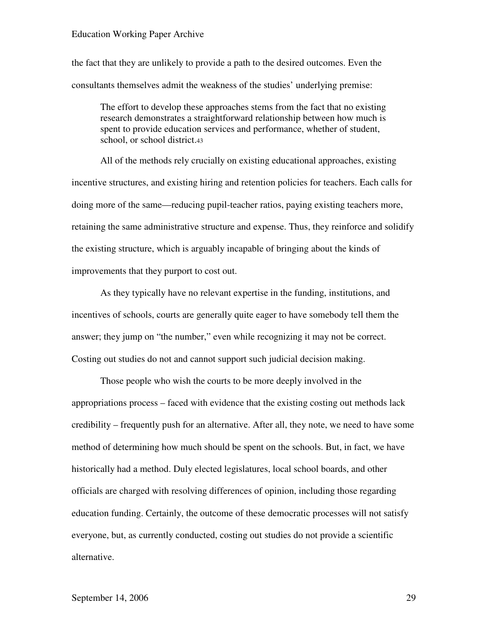the fact that they are unlikely to provide a path to the desired outcomes. Even the consultants themselves admit the weakness of the studies' underlying premise:

The effort to develop these approaches stems from the fact that no existing research demonstrates a straightforward relationship between how much is spent to provide education services and performance, whether of student, school, or school district.<sup>43</sup>

All of the methods rely crucially on existing educational approaches, existing incentive structures, and existing hiring and retention policies for teachers. Each calls for doing more of the same—reducing pupil-teacher ratios, paying existing teachers more, retaining the same administrative structure and expense. Thus, they reinforce and solidify the existing structure, which is arguably incapable of bringing about the kinds of improvements that they purport to cost out.

As they typically have no relevant expertise in the funding, institutions, and incentives of schools, courts are generally quite eager to have somebody tell them the answer; they jump on "the number," even while recognizing it may not be correct. Costing out studies do not and cannot support such judicial decision making.

Those people who wish the courts to be more deeply involved in the appropriations process – faced with evidence that the existing costing out methods lack credibility – frequently push for an alternative. After all, they note, we need to have some method of determining how much should be spent on the schools. But, in fact, we have historically had a method. Duly elected legislatures, local school boards, and other officials are charged with resolving differences of opinion, including those regarding education funding. Certainly, the outcome of these democratic processes will not satisfy everyone, but, as currently conducted, costing out studies do not provide a scientific alternative.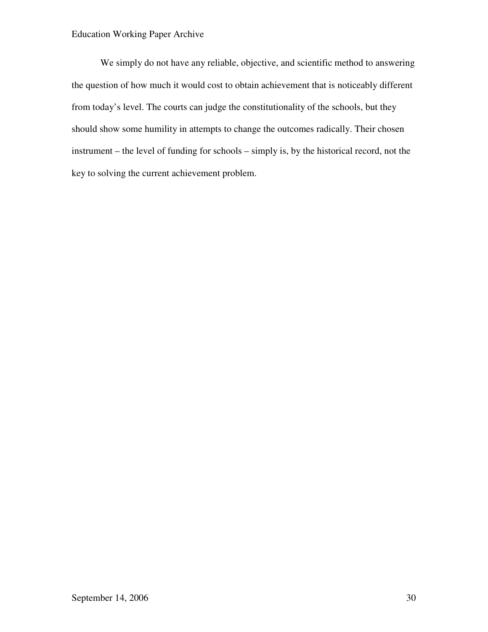We simply do not have any reliable, objective, and scientific method to answering the question of how much it would cost to obtain achievement that is noticeably different from today's level. The courts can judge the constitutionality of the schools, but they should show some humility in attempts to change the outcomes radically. Their chosen instrument – the level of funding for schools – simply is, by the historical record, not the key to solving the current achievement problem.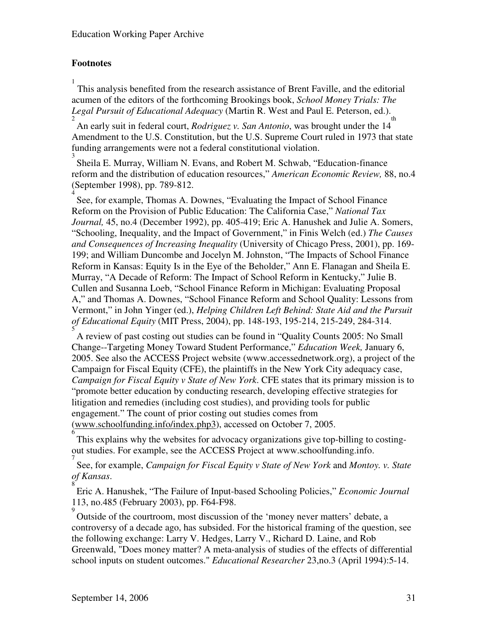## **Footnotes**

1 This analysis benefited from the research assistance of Brent Faville, and the editorial acumen of the editors of the forthcoming Brookings book, *School Money Trials: The Legal Pursuit of Educational Adequacy* (Martin R. West and Paul E. Peterson, ed.).

2 An early suit in federal court, *Rodriguez v. San Antonio*, was brought under the 14 th Amendment to the U.S. Constitution, but the U.S. Supreme Court ruled in 1973 that state funding arrangements were not a federal constitutional violation.

3 Sheila E. Murray, William N. Evans, and Robert M. Schwab, "Education-finance reform and the distribution of education resources," *American Economic Review,* 88, no.4 (September 1998), pp. 789-812.

4 See, for example, Thomas A. Downes, "Evaluating the Impact of School Finance Reform on the Provision of Public Education: The California Case," *National Tax Journal,* 45, no.4 (December 1992), pp. 405-419; Eric A. Hanushek and Julie A. Somers, "Schooling, Inequality, and the Impact of Government," in Finis Welch (ed.) *The Causes and Consequences of Increasing Inequality* (University of Chicago Press, 2001), pp. 169- 199; and William Duncombe and Jocelyn M. Johnston, "The Impacts of School Finance Reform in Kansas: Equity Is in the Eye of the Beholder," Ann E. Flanagan and Sheila E. Murray, "A Decade of Reform: The Impact of School Reform in Kentucky," Julie B. Cullen and Susanna Loeb, "School Finance Reform in Michigan: Evaluating Proposal A," and Thomas A. Downes, "School Finance Reform and School Quality: Lessons from Vermont," in John Yinger (ed.), *Helping Children Left Behind: State Aid and the Pursuit of Educational Equity* (MIT Press, 2004), pp. 148-193, 195-214, 215-249, 284-314. 5

A review of past costing out studies can be found in "Quality Counts 2005: No Small Change--Targeting Money Toward Student Performance," *Education Week,* January 6, 2005. See also the ACCESS Project website (www.accessednetwork.org), a project of the Campaign for Fiscal Equity (CFE), the plaintiffs in the New York City adequacy case, *Campaign for Fiscal Equity v State of New York*. CFE states that its primary mission is to "promote better education by conducting research, developing effective strategies for litigation and remedies (including cost studies), and providing tools for public engagement." The count of prior costing out studies comes from (www.schoolfunding.info/index.php3), accessed on October 7, 2005.

6 This explains why the websites for advocacy organizations give top-billing to costingout studies. For example, see the ACCESS Project at www.schoolfunding.info.

7 See, for example, *Campaign for Fiscal Equity v State of New York* and *Montoy. v. State of Kansas*.

8 Eric A. Hanushek, "The Failure of Input-based Schooling Policies," *Economic Journal*  113, no.485 (February 2003), pp. F64-F98.

<sup>9</sup> Outside of the courtroom, most discussion of the 'money never matters' debate, a controversy of a decade ago, has subsided. For the historical framing of the question, see the following exchange: Larry V. Hedges, Larry V., Richard D. Laine, and Rob Greenwald, "Does money matter? A meta-analysis of studies of the effects of differential school inputs on student outcomes." *Educational Researcher* 23,no.3 (April 1994):5-14.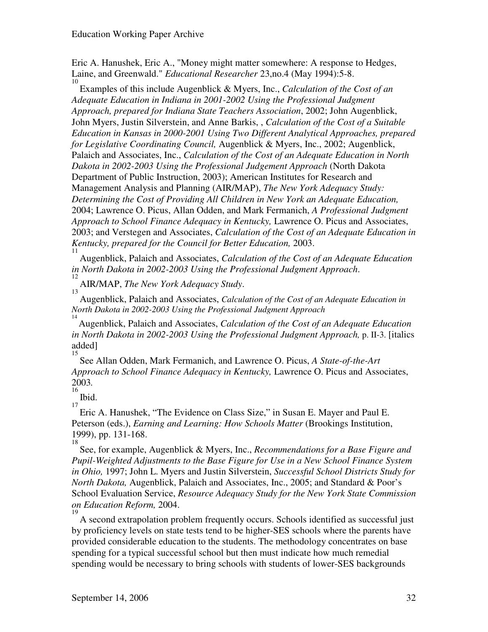Eric A. Hanushek, Eric A., "Money might matter somewhere: A response to Hedges, Laine, and Greenwald." *Educational Researcher* 23,no.4 (May 1994):5-8.

10 Examples of this include Augenblick & Myers, Inc., *Calculation of the Cost of an Adequate Education in Indiana in 2001-2002 Using the Professional Judgment Approach, prepared for Indiana State Teachers Association*, 2002; John Augenblick, John Myers, Justin Silverstein, and Anne Barkis, , *Calculation of the Cost of a Suitable Education in Kansas in 2000-2001 Using Two Different Analytical Approaches, prepared for Legislative Coordinating Council,* Augenblick & Myers, Inc., 2002; Augenblick, Palaich and Associates, Inc., *Calculation of the Cost of an Adequate Education in North Dakota in 2002-2003 Using the Professional Judgement Approach* (North Dakota Department of Public Instruction, 2003); American Institutes for Research and Management Analysis and Planning (AIR/MAP), *The New York Adequacy Study: Determining the Cost of Providing All Children in New York an Adequate Education,*  2004; Lawrence O. Picus, Allan Odden, and Mark Fermanich, *A Professional Judgment Approach to School Finance Adequacy in Kentucky,* Lawrence O. Picus and Associates, 2003; and Verstegen and Associates, *Calculation of the Cost of an Adequate Education in Kentucky, prepared for the Council for Better Education,* 2003.

11 Augenblick, Palaich and Associates, *Calculation of the Cost of an Adequate Education in North Dakota in 2002-2003 Using the Professional Judgment Approach*.

12 AIR/MAP, *The New York Adequacy Study*. 13

Augenblick, Palaich and Associates, *Calculation of the Cost of an Adequate Education in North Dakota in 2002-2003 Using the Professional Judgment Approach* 

14 Augenblick, Palaich and Associates, *Calculation of the Cost of an Adequate Education in North Dakota in 2002-2003 Using the Professional Judgment Approach,* p. II-3. [italics added]

15 See Allan Odden, Mark Fermanich, and Lawrence O. Picus, *A State-of-the-Art Approach to School Finance Adequacy in Kentucky,* Lawrence O. Picus and Associates, 2003*.*   $16$ 

Ibid. 17

Eric A. Hanushek, "The Evidence on Class Size," in Susan E. Mayer and Paul E. Peterson (eds.), *Earning and Learning: How Schools Matter* (Brookings Institution, 1999), pp. 131-168. 18

See, for example, Augenblick & Myers, Inc., *Recommendations for a Base Figure and Pupil-Weighted Adjustments to the Base Figure for Use in a New School Finance System in Ohio,* 1997; John L. Myers and Justin Silverstein, *Successful School Districts Study for North Dakota,* Augenblick, Palaich and Associates, Inc., 2005; and Standard & Poor's School Evaluation Service, *Resource Adequacy Study for the New York State Commission on Education Reform,* 2004.

19 A second extrapolation problem frequently occurs. Schools identified as successful just by proficiency levels on state tests tend to be higher-SES schools where the parents have provided considerable education to the students. The methodology concentrates on base spending for a typical successful school but then must indicate how much remedial spending would be necessary to bring schools with students of lower-SES backgrounds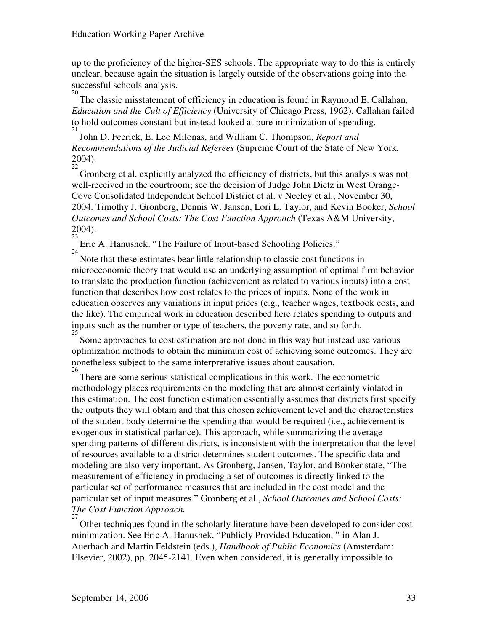up to the proficiency of the higher-SES schools. The appropriate way to do this is entirely unclear, because again the situation is largely outside of the observations going into the successful schools analysis. 20

The classic misstatement of efficiency in education is found in Raymond E. Callahan, *Education and the Cult of Efficiency* (University of Chicago Press, 1962). Callahan failed to hold outcomes constant but instead looked at pure minimization of spending. 21

John D. Feerick, E. Leo Milonas, and William C. Thompson, *Report and Recommendations of the Judicial Referees* (Supreme Court of the State of New York, 2004).

22 Gronberg et al. explicitly analyzed the efficiency of districts, but this analysis was not well-received in the courtroom; see the decision of Judge John Dietz in West Orange-Cove Consolidated Independent School District et al. v Neeley et al., November 30, 2004. Timothy J. Gronberg, Dennis W. Jansen, Lori L. Taylor, and Kevin Booker, *School Outcomes and School Costs: The Cost Function Approach* (Texas A&M University, 2004). 23

Eric A. Hanushek, "The Failure of Input-based Schooling Policies." 24

Note that these estimates bear little relationship to classic cost functions in microeconomic theory that would use an underlying assumption of optimal firm behavior to translate the production function (achievement as related to various inputs) into a cost function that describes how cost relates to the prices of inputs. None of the work in education observes any variations in input prices (e.g., teacher wages, textbook costs, and the like). The empirical work in education described here relates spending to outputs and inputs such as the number or type of teachers, the poverty rate, and so forth. 25

Some approaches to cost estimation are not done in this way but instead use various optimization methods to obtain the minimum cost of achieving some outcomes. They are nonetheless subject to the same interpretative issues about causation. 26

There are some serious statistical complications in this work. The econometric methodology places requirements on the modeling that are almost certainly violated in this estimation. The cost function estimation essentially assumes that districts first specify the outputs they will obtain and that this chosen achievement level and the characteristics of the student body determine the spending that would be required (i.e., achievement is exogenous in statistical parlance). This approach, while summarizing the average spending patterns of different districts, is inconsistent with the interpretation that the level of resources available to a district determines student outcomes. The specific data and modeling are also very important. As Gronberg, Jansen, Taylor, and Booker state, "The measurement of efficiency in producing a set of outcomes is directly linked to the particular set of performance measures that are included in the cost model and the particular set of input measures." Gronberg et al., *School Outcomes and School Costs: The Cost Function Approach.*  27

Other techniques found in the scholarly literature have been developed to consider cost minimization. See Eric A. Hanushek, "Publicly Provided Education, " in Alan J. Auerbach and Martin Feldstein (eds.), *Handbook of Public Economics* (Amsterdam: Elsevier, 2002), pp. 2045-2141. Even when considered, it is generally impossible to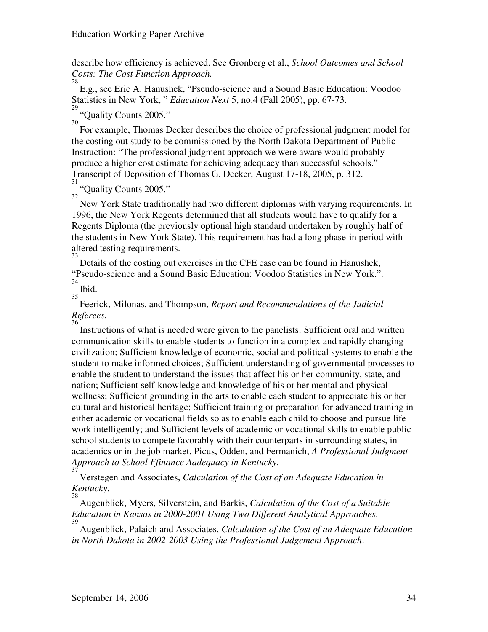describe how efficiency is achieved. See Gronberg et al., *School Outcomes and School Costs: The Cost Function Approach.* 

28 E.g., see Eric A. Hanushek, "Pseudo-science and a Sound Basic Education: Voodoo Statistics in New York, " *Education Next* 5, no.4 (Fall 2005), pp. 67-73.

 $^{29}$  "Quality Counts 2005."

30 For example, Thomas Decker describes the choice of professional judgment model for the costing out study to be commissioned by the North Dakota Department of Public Instruction: "The professional judgment approach we were aware would probably produce a higher cost estimate for achieving adequacy than successful schools." Transcript of Deposition of Thomas G. Decker, August 17-18, 2005, p. 312.

31 "Quality Counts 2005." 32

New York State traditionally had two different diplomas with varying requirements. In 1996, the New York Regents determined that all students would have to qualify for a Regents Diploma (the previously optional high standard undertaken by roughly half of the students in New York State). This requirement has had a long phase-in period with altered testing requirements. 33

Details of the costing out exercises in the CFE case can be found in Hanushek, "Pseudo-science and a Sound Basic Education: Voodoo Statistics in New York.". 34

Ibid. 35

Feerick, Milonas, and Thompson, *Report and Recommendations of the Judicial Referees*.

36 Instructions of what is needed were given to the panelists: Sufficient oral and written communication skills to enable students to function in a complex and rapidly changing civilization; Sufficient knowledge of economic, social and political systems to enable the student to make informed choices; Sufficient understanding of governmental processes to enable the student to understand the issues that affect his or her community, state, and nation; Sufficient self-knowledge and knowledge of his or her mental and physical wellness; Sufficient grounding in the arts to enable each student to appreciate his or her cultural and historical heritage; Sufficient training or preparation for advanced training in either academic or vocational fields so as to enable each child to choose and pursue life work intelligently; and Sufficient levels of academic or vocational skills to enable public school students to compete favorably with their counterparts in surrounding states, in academics or in the job market. Picus, Odden, and Fermanich, *A Professional Judgment Approach to School Ffinance Aadequacy in Kentucky*.

37 Verstegen and Associates, *Calculation of the Cost of an Adequate Education in Kentucky*.

38 Augenblick, Myers, Silverstein, and Barkis, *Calculation of the Cost of a Suitable Education in Kansas in 2000-2001 Using Two Different Analytical Approaches*.

39 Augenblick, Palaich and Associates, *Calculation of the Cost of an Adequate Education in North Dakota in 2002-2003 Using the Professional Judgement Approach*.